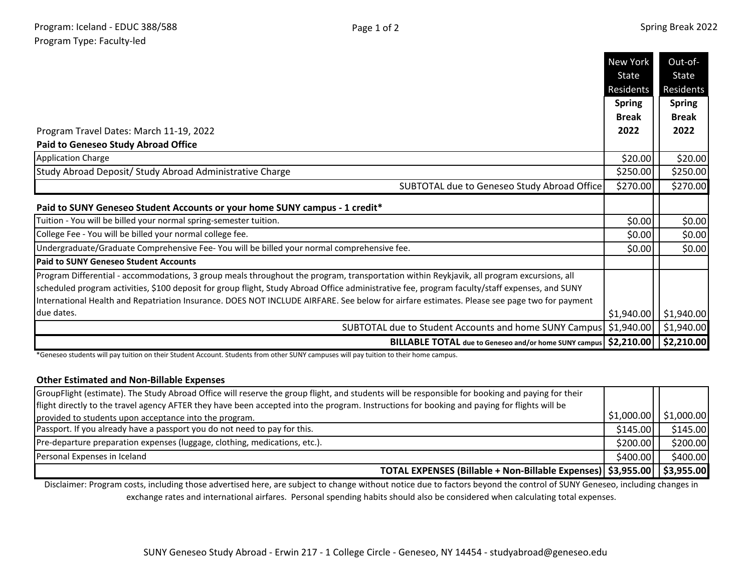|                                                                                                                                                                                                                                                                                             | <b>New York</b><br>State<br>Residents<br><b>Spring</b> | Out-of-<br>State<br>Residents<br><b>Spring</b> |
|---------------------------------------------------------------------------------------------------------------------------------------------------------------------------------------------------------------------------------------------------------------------------------------------|--------------------------------------------------------|------------------------------------------------|
|                                                                                                                                                                                                                                                                                             | <b>Break</b>                                           | <b>Break</b>                                   |
| Program Travel Dates: March 11-19, 2022                                                                                                                                                                                                                                                     | 2022                                                   | 2022                                           |
| <b>Paid to Geneseo Study Abroad Office</b>                                                                                                                                                                                                                                                  |                                                        |                                                |
| <b>Application Charge</b>                                                                                                                                                                                                                                                                   | \$20.00                                                | \$20.00                                        |
| Study Abroad Deposit/ Study Abroad Administrative Charge                                                                                                                                                                                                                                    | \$250.00                                               | \$250.00                                       |
| SUBTOTAL due to Geneseo Study Abroad Office                                                                                                                                                                                                                                                 | \$270.00                                               | \$270.00                                       |
| Paid to SUNY Geneseo Student Accounts or your home SUNY campus - 1 credit*                                                                                                                                                                                                                  |                                                        |                                                |
| Tuition - You will be billed your normal spring-semester tuition.                                                                                                                                                                                                                           | \$0.00                                                 | \$0.00                                         |
| College Fee - You will be billed your normal college fee.                                                                                                                                                                                                                                   | \$0.00                                                 | \$0.00                                         |
| Undergraduate/Graduate Comprehensive Fee- You will be billed your normal comprehensive fee.                                                                                                                                                                                                 | \$0.00                                                 | \$0.00                                         |
| <b>Paid to SUNY Geneseo Student Accounts</b>                                                                                                                                                                                                                                                |                                                        |                                                |
| Program Differential - accommodations, 3 group meals throughout the program, transportation within Reykjavik, all program excursions, all<br>scheduled program activities, \$100 deposit for group flight, Study Abroad Office administrative fee, program faculty/staff expenses, and SUNY |                                                        |                                                |
| International Health and Repatriation Insurance. DOES NOT INCLUDE AIRFARE. See below for airfare estimates. Please see page two for payment                                                                                                                                                 |                                                        |                                                |
| due dates.                                                                                                                                                                                                                                                                                  | \$1,940.00                                             | \$1,940.00                                     |
| SUBTOTAL due to Student Accounts and home SUNY Campus                                                                                                                                                                                                                                       | \$1,940.00                                             | \$1,940.00                                     |
| BILLABLE TOTAL due to Geneseo and/or home SUNY campus   \$2,210.00     \$2,210.00                                                                                                                                                                                                           |                                                        |                                                |

\*Geneseo students will pay tuition on their Student Account. Students from other SUNY campuses will pay tuition to their home campus.

## **Other Estimated and Non-Billable Expenses**

| GroupFlight (estimate). The Study Abroad Office will reserve the group flight, and students will be responsible for booking and paying for their |           |                                       |
|--------------------------------------------------------------------------------------------------------------------------------------------------|-----------|---------------------------------------|
| flight directly to the travel agency AFTER they have been accepted into the program. Instructions for booking and paying for flights will be     |           |                                       |
| provided to students upon acceptance into the program.                                                                                           |           | $\frac{1}{2}$ \$1,000.00   \$1,000.00 |
| Passport. If you already have a passport you do not need to pay for this.                                                                        | \$145.00  | \$145.00                              |
| Pre-departure preparation expenses (luggage, clothing, medications, etc.).                                                                       | \$200.00  | \$200.00                              |
| Personal Expenses in Iceland                                                                                                                     | \$400.00] | \$400.00]                             |
| TOTAL EXPENSES (Billable + Non-Billable Expenses)   \$3,955.00     \$3,955.00                                                                    |           |                                       |

Disclaimer: Program costs, including those advertised here, are subject to change without notice due to factors beyond the control of SUNY Geneseo, including changes in exchange rates and international airfares. Personal spending habits should also be considered when calculating total expenses.